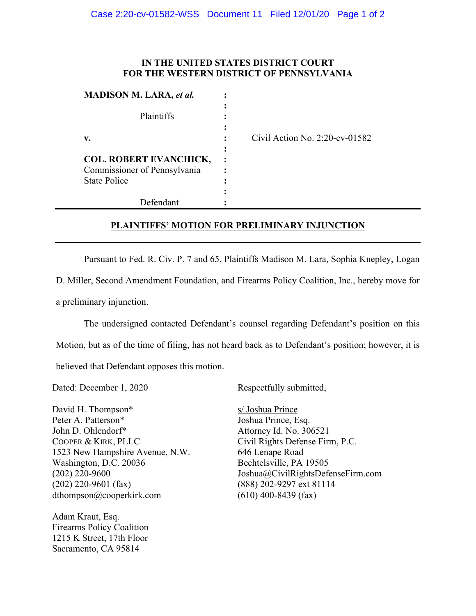## **IN THE UNITED STATES DISTRICT COURT FOR THE WESTERN DISTRICT OF PENNSYLVANIA**

|                                                                                      | Plaintiffs |
|--------------------------------------------------------------------------------------|------------|
| v.                                                                                   |            |
| <b>COL. ROBERT EVANCHICK,</b><br>Commissioner of Pennsylvania<br><b>State Police</b> |            |

**v. :** Civil Action No. 2:20-cv-01582

## **PLAINTIFFS' MOTION FOR PRELIMINARY INJUNCTION**

Pursuant to Fed. R. Civ. P. 7 and 65, Plaintiffs Madison M. Lara, Sophia Knepley, Logan

D. Miller, Second Amendment Foundation, and Firearms Policy Coalition, Inc., hereby move for a preliminary injunction.

The undersigned contacted Defendant's counsel regarding Defendant's position on this Motion, but as of the time of filing, has not heard back as to Defendant's position; however, it is believed that Defendant opposes this motion.

Dated: December 1, 2020

David H. Thompson\* Peter A. Patterson\* John D. Ohlendorf\* COOPER & KIRK, PLLC 1523 New Hampshire Avenue, N.W. Washington, D.C. 20036 (202) 220-9600 (202) 220-9601 (fax) dthompson@cooperkirk.com

Adam Kraut, Esq. Firearms Policy Coalition 1215 K Street, 17th Floor Sacramento, CA 95814

Respectfully submitted,

s/ Joshua Prince Joshua Prince, Esq. Attorney Id. No. 306521 Civil Rights Defense Firm, P.C. 646 Lenape Road Bechtelsville, PA 19505 Joshua@CivilRightsDefenseFirm.com (888) 202-9297 ext 81114 (610) 400-8439 (fax)